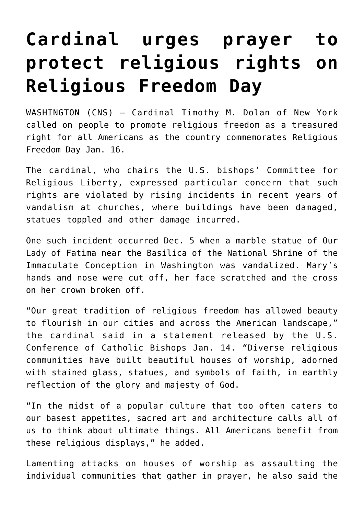## **[Cardinal urges prayer to](https://www.osvnews.com/amp/2022/01/15/cardinal-urges-prayer-to-protect-religious-rights-on-religious-freedom-day/) [protect religious rights on](https://www.osvnews.com/amp/2022/01/15/cardinal-urges-prayer-to-protect-religious-rights-on-religious-freedom-day/) [Religious Freedom Day](https://www.osvnews.com/amp/2022/01/15/cardinal-urges-prayer-to-protect-religious-rights-on-religious-freedom-day/)**

WASHINGTON (CNS) — Cardinal Timothy M. Dolan of New York called on people to promote religious freedom as a treasured right for all Americans as the country commemorates Religious Freedom Day Jan. 16.

The cardinal, who chairs the U.S. bishops' Committee for Religious Liberty, expressed particular concern that such rights are violated by rising incidents in recent years of vandalism at churches, where buildings have been damaged, statues toppled and other damage incurred.

One such incident occurred Dec. 5 when a marble statue of Our Lady of Fatima near the Basilica of the National Shrine of the Immaculate Conception in Washington was vandalized. Mary's hands and nose were cut off, her face scratched and the cross on her crown broken off.

"Our great tradition of religious freedom has allowed beauty to flourish in our cities and across the American landscape," the cardinal said in a statement released by the U.S. Conference of Catholic Bishops Jan. 14. "Diverse religious communities have built beautiful houses of worship, adorned with stained glass, statues, and symbols of faith, in earthly reflection of the glory and majesty of God.

"In the midst of a popular culture that too often caters to our basest appetites, sacred art and architecture calls all of us to think about ultimate things. All Americans benefit from these religious displays," he added.

Lamenting attacks on houses of worship as assaulting the individual communities that gather in prayer, he also said the